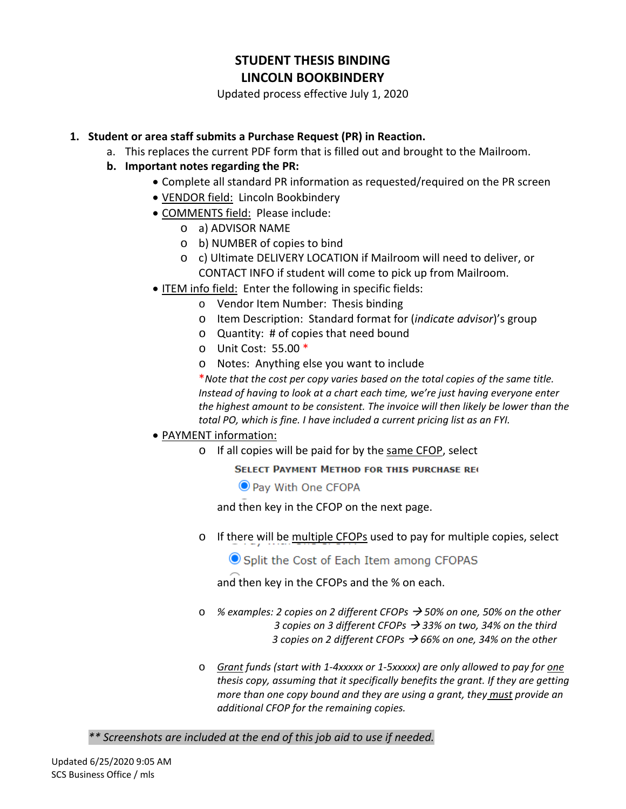# **STUDENT THESIS BINDING LINCOLN BOOKBINDERY**

Updated process effective July 1, 2020

## **1. Student or area staff submits a Purchase Request (PR) in Reaction.**

a. This replaces the current PDF form that is filled out and brought to the Mailroom.

# **b. Important notes regarding the PR:**

- Complete all standard PR information as requested/required on the PR screen
- VENDOR field: Lincoln Bookbindery
- COMMENTS field: Please include:
	- o a) ADVISOR NAME
	- o b) NUMBER of copies to bind
	- o c) Ultimate DELIVERY LOCATION if Mailroom will need to deliver, or CONTACT INFO if student will come to pick up from Mailroom.
- ITEM info field: Enter the following in specific fields:
	- o Vendor Item Number: Thesis binding
	- o Item Description: Standard format for (*indicate advisor*)'s group
	- o Quantity: # of copies that need bound
	- o Unit Cost: 55.00 \*
	- o Notes: Anything else you want to include

\**Note that the cost per copy varies based on the total copies of the same title. Instead of having to look at a chart each time, we're just having everyone enter the highest amount to be consistent. The invoice will then likely be lower than the total PO, which is fine. I have included a current pricing list as an FYI.* 

## • PAYMENT information:

o If all copies will be paid for by the same CFOP, select

**SELECT PAYMENT METHOD FOR THIS PURCHASE REC** 

O Pay With One CFOPA

and then key in the CFOP on the next page.

o If there will be multiple CFOPs used to pay for multiple copies, select

Split the Cost of Each Item among CFOPAS

and then key in the CFOPs and the % on each.

- o *% examples: 2 copies on 2 different CFOPs 50% on one, 50% on the other 3 copies on 3 different CFOPs 33% on two, 34% on the third 3 copies on 2 different CFOPs 66% on one, 34% on the other*
- o *Grant funds (start with 1-4xxxxx or 1-5xxxxx) are only allowed to pay for one thesis copy, assuming that it specifically benefits the grant. If they are getting more than one copy bound and they are using a grant, they must provide an additional CFOP for the remaining copies.*

*\*\* Screenshots are included at the end of this job aid to use if needed.*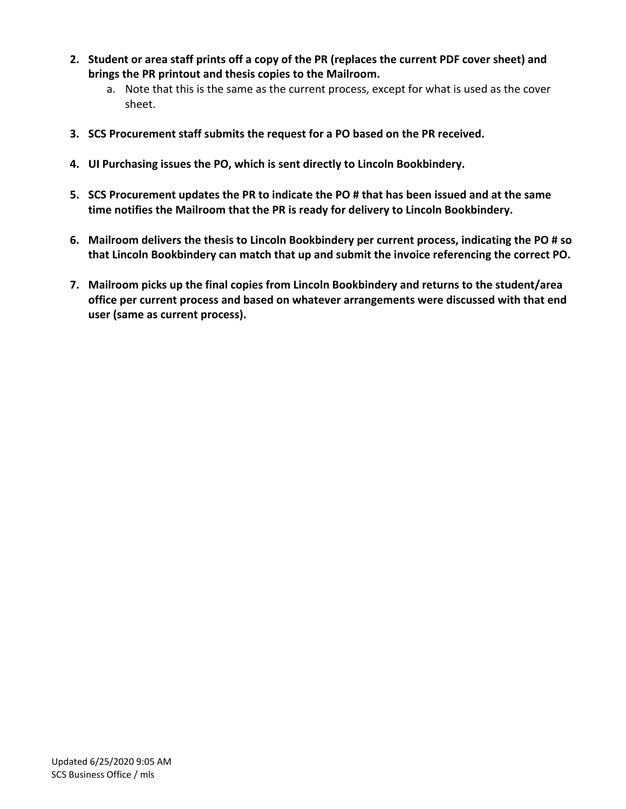- **2. Student or area staff prints off a copy of the PR (replaces the current PDF cover sheet) and brings the PR printout and thesis copies to the Mailroom.** 
	- a. Note that this is the same as the current process, except for what is used as the cover sheet.
- **3. SCS Procurement staff submits the request for a PO based on the PR received.**
- **4. UI Purchasing issues the PO, which is sent directly to Lincoln Bookbindery.**
- **5. SCS Procurement updates the PR to indicate the PO # that has been issued and at the same time notifies the Mailroom that the PR is ready for delivery to Lincoln Bookbindery.**
- **6. Mailroom delivers the thesis to Lincoln Bookbindery per current process, indicating the PO # so that Lincoln Bookbindery can match that up and submit the invoice referencing the correct PO.**
- **7. Mailroom picks up the final copies from Lincoln Bookbindery and returns to the student/area office per current process and based on whatever arrangements were discussed with that end user (same as current process).**